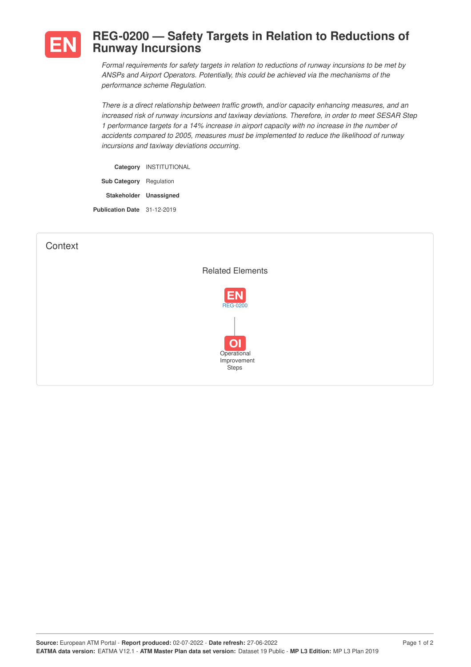

## **REG-0200 — Safety Targets in Relation to Reductions of Runway Incursions**

*Formal requirements for safety targets in relation to reductions of runway incursions to be met by ANSPs and Airport Operators. Potentially, this could be achieved via the mechanisms of the performance scheme Regulation.*

*There is a direct relationship between traffic growth, and/or capacity enhancing measures, and an increased risk of runway incursions and taxiway deviations. Therefore, in order to meet SESAR Step 1 performance targets for a 14% increase in airport capacity with no increase in the number of accidents compared to 2005, measures must be implemented to reduce the likelihood of runway incursions and taxiway deviations occurring.*

**Category** INSTITUTIONAL **Sub Category** Regulation **Stakeholder Unassigned Publication Date** 31-12-2019